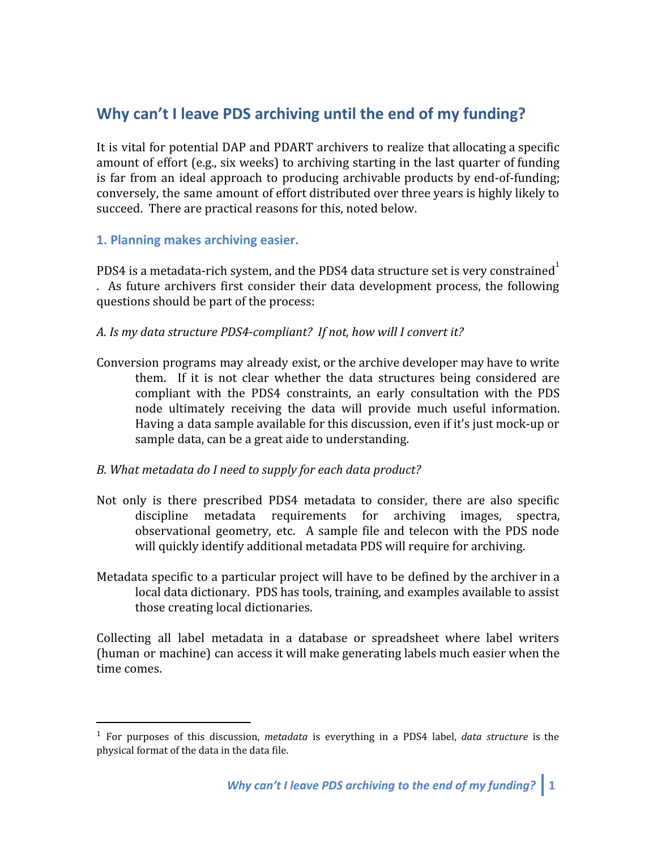# **Why can't I leave PDS archiving until the end of my funding?**

It is vital for potential DAP and PDART archivers to realize that allocating a specific amount of effort (e.g., six weeks) to archiving starting in the last quarter of funding is far from an ideal approach to producing archivable products by end-of-funding; conversely, the same amount of effort distributed over three years is highly likely to succeed. There are practical reasons for this, noted below.

# **1. Planning makes archiving easier.**

PDS4 is a metadata-rich system, and the PDS4 data structure set is very constrained . As future archivers first consider their data development process, the following questions should be part of the process:

#### *A. Is my data structure PDS4-compliant? If not, how will I convert it?*

Conversion programs may already exist, or the archive developer may have to write them. If it is not clear whether the data structures being considered are compliant with the PDS4 constraints, an early consultation with the PDS node ultimately receiving the data will provide much useful information. Having a data sample available for this discussion, even if it's just mock-up or sample data, can be a great aide to understanding.

#### *B. What metadata do I need to supply for each data product?*

- Not only is there prescribed PDS4 metadata to consider, there are also specific discipline metadata requirements for archiving images, spectra, observational geometry, etc. A sample file and telecon with the PDS node will quickly identify additional metadata PDS will require for archiving.
- Metadata specific to a particular project will have to be defined by the archiver in a local data dictionary. PDS has tools, training, and examples available to assist those creating local dictionaries.

Collecting all label metadata in a database or spreadsheet where label writers (human or machine) can access it will make generating labels much easier when the time comes.

<sup>1</sup> For purposes of this discussion, *metadata* is everything in a PDS4 label, *data structure* is the physical format of the data in the data file.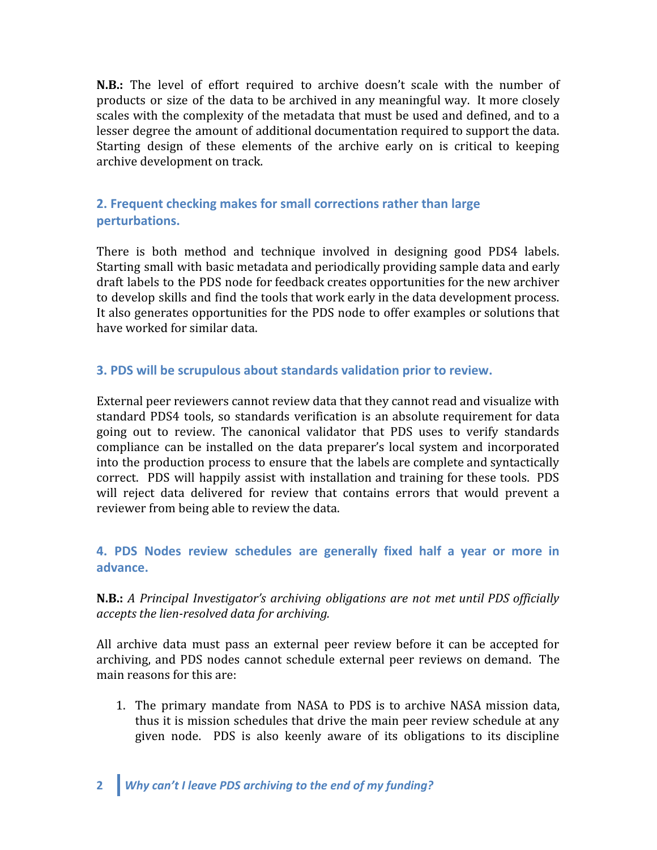**N.B.:** The level of effort required to archive doesn't scale with the number of products or size of the data to be archived in any meaningful way. It more closely scales with the complexity of the metadata that must be used and defined, and to a lesser degree the amount of additional documentation required to support the data. Starting design of these elements of the archive early on is critical to keeping archive development on track.

# **2. Frequent checking makes for small corrections rather than large perturbations.**

There is both method and technique involved in designing good PDS4 labels. Starting small with basic metadata and periodically providing sample data and early draft labels to the PDS node for feedback creates opportunities for the new archiver to develop skills and find the tools that work early in the data development process. It also generates opportunities for the PDS node to offer examples or solutions that have worked for similar data.

# **3. PDS will be scrupulous about standards validation prior to review.**

External peer reviewers cannot review data that they cannot read and visualize with standard PDS4 tools, so standards verification is an absolute requirement for data going out to review. The canonical validator that PDS uses to verify standards compliance can be installed on the data preparer's local system and incorporated into the production process to ensure that the labels are complete and syntactically correct. PDS will happily assist with installation and training for these tools. PDS will reject data delivered for review that contains errors that would prevent a reviewer from being able to review the data.

**4. PDS Nodes review schedules are generally fixed half a year or more in advance.**

# **N.B.:** *A Principal Investigator's archiving obligations are not met until PDS officially accepts the lien-resolved data for archiving.*

All archive data must pass an external peer review before it can be accepted for archiving, and PDS nodes cannot schedule external peer reviews on demand. The main reasons for this are:

1. The primary mandate from NASA to PDS is to archive NASA mission data, thus it is mission schedules that drive the main peer review schedule at any given node. PDS is also keenly aware of its obligations to its discipline